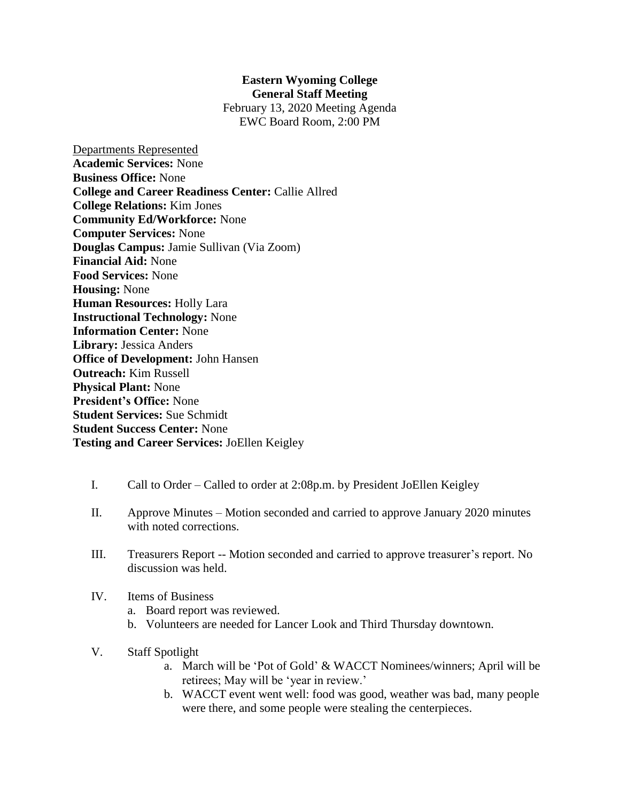## **Eastern Wyoming College General Staff Meeting**

February 13, 2020 Meeting Agenda EWC Board Room, 2:00 PM

- Departments Represented **Academic Services:** None **Business Office:** None **College and Career Readiness Center:** Callie Allred **College Relations:** Kim Jones **Community Ed/Workforce:** None **Computer Services:** None **Douglas Campus:** Jamie Sullivan (Via Zoom) **Financial Aid:** None **Food Services:** None **Housing:** None **Human Resources:** Holly Lara **Instructional Technology:** None **Information Center:** None **Library:** Jessica Anders **Office of Development:** John Hansen **Outreach:** Kim Russell **Physical Plant:** None **President's Office:** None **Student Services:** Sue Schmidt **Student Success Center:** None **Testing and Career Services:** JoEllen Keigley
	- I. Call to Order Called to order at 2:08p.m. by President JoEllen Keigley
	- II. Approve Minutes Motion seconded and carried to approve January 2020 minutes with noted corrections.
	- III. Treasurers Report -- Motion seconded and carried to approve treasurer's report. No discussion was held.
	- IV. Items of Business
		- a. Board report was reviewed.
		- b. Volunteers are needed for Lancer Look and Third Thursday downtown.
	- V. Staff Spotlight
		- a. March will be 'Pot of Gold' & WACCT Nominees/winners; April will be retirees; May will be 'year in review.'
		- b. WACCT event went well: food was good, weather was bad, many people were there, and some people were stealing the centerpieces.